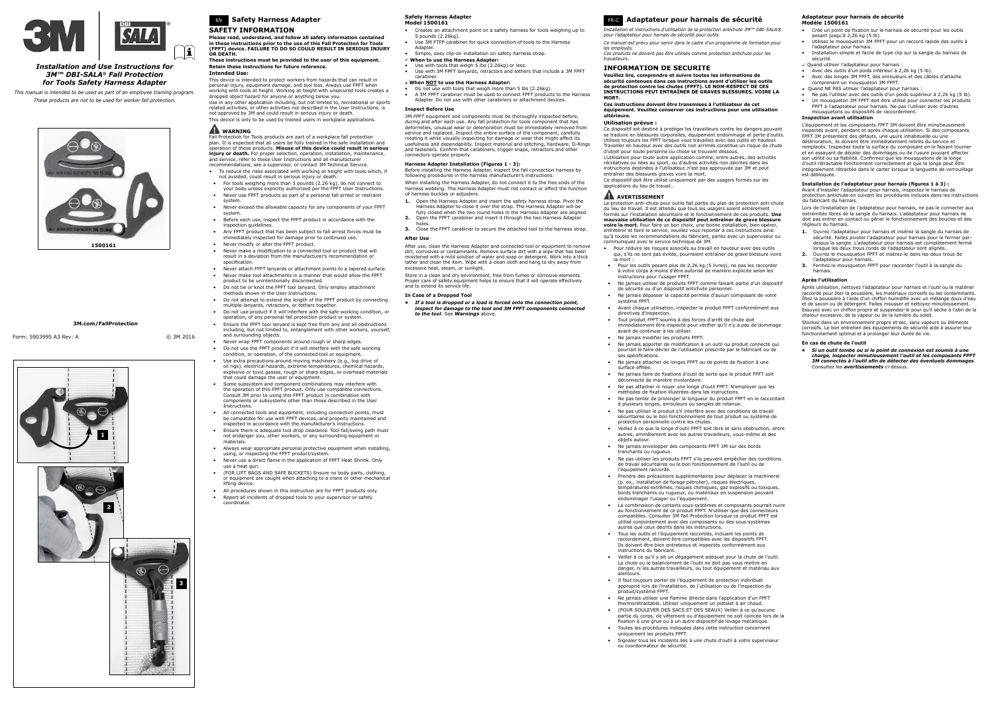

### *Installation and Use Instructions for 3M™ DBI-SALA® Fall Protection for Tools Safety Harness Adapter*

*This manual is intended to be used as part of an employee training program. These products are not to be used for worker fall protection.*





# EN **Safety Harness Adapter**

#### **SAFETY INFORMATION**

**Please read, understand, and follow all safety information contained in these instructions prior to the use of this Fall Protection for Tools (FPFT) device. FAILURE TO DO SO COULD RESULT IN SERIOUS INJURY OR DEATH.**

**These instructions must be provided to the user of this equipment. Retain these instructions for future reference. Intended Use:**

### This device is intended to protect workers from hazards that can result in personal injury, equipment damage, and tool loss. Always use FPFT when working with tools at height. Working at height with unsecured tools creates a dropped object hazard for anyone or anything below you.

Use in any other application including, but not limited to, recreational or sports related activities, or other activities not described in the User Instructions, is not approved by 3M and could result in serious injury or death.

This device is only to be used by trained users in workplace applications.

## **WARNING**

Fall Protection for Tools products are part of a workplace fall protection plan. It is expected that all users be fully trained in the safe installation and operation of these products. **Misuse of this device could result in serious injury or death.** For proper selection, operation, installation, maintenance, and service, refer to these User Instructions and all manufacturer

- recommendations, see a supervisor, or contact 3M Technical Service. • To reduce the risks associated with working at height with tools which, if
- not avoided, could result in serious injury or death: For tools weighing more than 5 pounds (2.26 kg), do not connect to your body unless explicitly authorized per the FPFT User Instructions.
- Never use FPFT products as part of a personal fall arrest or restraint system.
- Never exceed the allowable capacity for any components of your FPFT system.
- Before each use, inspect the FPFT product in accordance with the inspection guidelines.
- Any FPFT product that has been subject to fall arrest forces must be immediately inspected for damage prior to continued use.
- Never modify or alter the FPFT product. Never make a modification to a connected tool or product that will
- result in a deviation from the manufacturer's recommendation or specification.
- Never attach FPFT lanyards or attachment points to a tapered surface.
- Never make tool attachments in a manner that would allow the FPFT product to be unintentionally disconnected.
- Do not tie or knot the FPFT tool lanyard. Only employ attachment
- methods shown in the User Instructions. • Do not attempt to extend the length of the FPFT product by connecting
- multiple lanyards, retractors, or tethers together • Do not use product if it will interfere with the safe working condition, or
- operation, of any personal fall protection product or system. • Ensure the FPFT tool lanyard is kept free from any and all obstructions
- including, but not limited to, entanglement with other workers, yourself, and surrounding objects. • Never wrap FPFT components around rough or sharp edges.
- Do not use the FPFT product if it will interfere with the safe working
- condition, or operation, of the connected tool or equipment. Use extra precautions around moving machinery (e.g., top drive of oil rigs), electrical hazards, extreme temperatures, chemical hazards,
- explosive or toxic gasses, rough or sharp edges, or overhead materials that could damage the user or equipment. • Some subsystem and component combinations may interfere with the operation of this FPFT product. Only use compatible connections.
- Consult 3M prior to using this FPFT product in combination with components or subsystems other than those described in the Use Instructions.
- All connected tools and equipment, including connection points, must be compatible for use with FPFT devices, and properly maintained and inspected in accordance with the manufacturer's instructions.
- Ensure there is adequate tool drop clearance. Tool fall/swing path must not endanger you, other workers, or any surrounding equipment or materials.
- Always wear appropriate personal protective equipment when installing, using, or inspecting the FPFT product/system.
- Never use a direct flame in the application of FPFT Heat Shrink. Only use a heat gun.
- (FOR LIFT BAGS AND SAFE BUCKETS) Ensure no body parts, clothing, or equipment are caught when attaching to a crane or other mechanical lifting device.
- All procedures shown in this instruction are for FPFT products only. • Report all incidents of dropped tools to your supervisor or safety coordinator.

Store in a clean and dry environment, free from fumes or corrosive elements. Proper care of safety equipment helps to ensure that it will operate effectively and to extend its service life.

#### **Safety Harness Adapter Model 1500161**

- Creates an attachment point on a safety harness for tools weighing up to 5 pounds (2.26kg).
- Use 3M FTFP carabiner for quick connection of tools to the Harness Adapter.
- Simple, easy clip-on installation on safety harness strap.
- √ **When to use the Harness Adapter:**<br>• Use with tools that weigh 5 lbs (2.26kg) or less.
- Use with 3M FPFT lanyards, retractors and tethers that include a 3M FPFT carabiner.
- û **When NOT to use the Harness Adapter:**
- Do not use with tools that weigh more than 5 lbs (2.26kg). A 3M FPFT carabiner must be used to connect FPFT products to the Harness Adapter. Do not use with other carabiners or attachment devices.

### **Inspect Before Use**

3M *FPFT* equipment and components must be thoroughly inspected before, during and after each use. Any fall protection for tools component that has deformities, unusual wear or deterioration must be immediately removed from service and replaced. Inspect the entire surface of the component, carefully rotating it while visually inspecting for damage or wear that might affect its usefulness and dependability. Inspect material and stitching, hardware, D-Rings and fasteners. Confirm that carabiners, trigger snaps, retractors and other connectors operate properly.

#### **Harness Adapter Installation (Figures 1 - 3):**

Before installing the Harness Adapter, inspect the fall connection harness by following procedures in the harness manufacturer's instructions. When installing the Harness Adapter, do not connect it to the free ends of the harness webbing. The Harness Adapter must not contact or affect the function of harness buckles or adjusters.

- **1.** Open the Harness Adapter and insert the safety harness strap. Pivot the Harness Adapter to close it over the strap. The Harness Adapter will be fully closed when the two round holes in the Harness Adapter are aligned.
- **2.** Open the FPFT carabiner and insert it through the two Harness Adapter
- holes. **3.** Close the FPFT carabiner to secure the attached tool to the harness strap.

#### **After Use**

After use, clean the Harness Adapter and connected tool or equipment to remove dirt, corrosives or contaminants. Remove surface dirt with a wipe that has been moistened with a mild solution of water and soap or detergent. Work into a thick lather and clean the item. Wipe with a clean cloth and hang to dry away from excessive heat, steam, or sunlight.

#### **In Case of a Dropped Tool**

*• If a tool is dropped or a load is forced onto the connection point, inspect for damage to the tool and 3M FPFT components connected to the tool*. See *Warnings* above.

Form: 5903995 A3 Rev: A © 3M 2016

## FR-C **Adaptateur pour harnais de sécurité**

*Installation et instructions d'utilisation de la protection antichute 3M™ DBI-SALA® pour l'adaptateur pour harnais de sécurité pour outils*

*Ce manuel est prévu pour servir dans le cadre d'un programme de formation pour les employés. Ces produits ne doivent pas être utilisés comme protection antichute pour les travailleurs.*

### **INFORMATION DE SÉCURITÉ**

**Veuillez lire, comprendre et suivre toutes les informations de**  sécurité contenues dans ces instructions avant d'utiliser les outils<br>de protection contre les chutes (FPFT). LE NON-RESPECT DE CES<br>INSTRUCTIONS PEUT ENTRAÎNER DE GRAVES BLESSURES, VOIRE LA **MORT.**

**Ces instructions doivent être transmises à l'utilisateur de cet équipement. Veuillez conserver ces instructions pour une utilisation ultérieure.**

#### **Utilisation prévue :**

Ce dispositif est destiné à protéger les travailleurs contre les dangers pouvant se traduire en blessures corporelles, équipement endommagé et perte d'outils. Utilisez toujours les FPFT lorsque vous travaillez avec des outils en hauteur. Travailler en hauteur avec des outils non arrimés constitue un risque de chute

d'objet pour toute personne ou chose se trouvant dessous. L'utilisation pour toute autre application comme, entre autres, des activités récréatives ou liées au sport, ou d'autres activités non décrites dans les instructions destinées à l'utilisateur, n'est pas approuvée par 3M et peut entraîner des blessures graves voire la mort.

Ce dispositif doit être utilisé uniquement par des usagers formés sur les applications du lieu de travail..

### **AVERTISSEMENT**

La protection anti-chute pour outils fait partie du plan de protection anti-chute du lieu de travail. Il est attendu que tous les usagers soient entièrement formés sur l'installation sécuritaire et le fonctionnement de ces produits. **Une mauvaise utilisation de ce dispositif peut entraîner de grave blessure voire la mort.** Pour faire un bon choix, une bonne installation, bien opérer, entretenir et faire le service, veuillez vous reporter à ces instructions ainsi qu'à toutes les recommandations du fabricant, parlez avec un superviseur ou communiquez avec le service technique de 3M.

- Pour réduire les risques associés au travail en hauteur avec des outils qui, s'ils ne sont pas évités, pourraient entraîner de grave blessure voire
- la mort : • Pour les outils pesant plus de 2,26 kg (5 livres), ne pas les raccorder à votre corps à moins d'être autorisé de manière explicite selon les instructions pour l'usager FPFT.
- Ne jamais utiliser de produits FPFT comme faisant partie d'un dispositif de sécurité ou d'un dispositif antichute personnel.
- Ne jamais dépasser la capacité permise d'aucun composant de votre système FPFT.
- Avant chaque utilisation, inspecter le produit FPFT conformément aux directives d'inspection. • Tout produit FPFT soumis à des forces d'arrêt de chute doit
- immédiatement être inspecté pour vérifier qu'il n'y a pas de dommage avant de continuer à les utiliser. Ne jamais modifier les produits FPFT.
- Ne jamais apporter de modification à un outil ou produit connecté qui pourrait le faire dévier de l'utilisation prescrite par le fabricant ou de .<br>ses spécifications.
- Ne jamais attacher de longes FPFT ou de points de fixation à une<br>surface effilée.
- Ne jamais faire de fixations d'outil de sorte que le produit FPFT soit déconnecté de manière involontaire. • Ne pas attacher ni nouer une longe d'outil FPFT. N'employer que les
- méthodes de fixation illustrées dans les instructio • Ne pas tenter de prolonger la longueur du produit FPFT en le raccordant
- à plusieurs longes, enrouleurs ou sangles de retenue. • Ne pas utiliser le produit s'il interfère avec des conditions de travail
- sécuritaires ou le bon fonctionnement de tout produit ou système de protection personnelle contre les chutes.
- Veillez à ce que la longe d'outil FPFT soit libre et sans obstruction, entre autres, emmêlement avec les autres travailleurs, vous-même et des objets autour.
- Ne jamais envelopper des composants FPFT 3M sur des bords tranchants ou rugueux.
- Ne pas utiliser les produits FPFT s'ils peuvent empêcher des conditions de travail sécuritaires ou le bon fonctionnement de l'outil ou de l'équipement raccordé.
- Prendre des précautions supplémentaires pour déplacer la machinerie (p. ex., installation de forage pétrolier), risques électriques, températures extrêmes, risques chimiques, gaz explosifs ou toxiques, bords tranchants ou rugueux, ou matériaux en suspension pouvant endommager l'usager ou l'équipement.
- La combinaison de certains sous-systèmes et composants pourrait nuire au fonctionnement de ce produit FPFT. N'utiliser que des connecteurs compatibles. Consulter 3M Fall Protection lorsque ce produit FPFT est utilisé conjointement avec des composants ou des sous-systèmes autres que ceux décrits dans les instructions.
- Tous les outils et l'équipement raccordés, incluant les points de raccordement, doivent être compatibles avec les dispositifs FPFT. Ils doivent être bien entretenus et inspectés conformément aux instructions du fabricant.
- Veiller à ce qu'il y ait un dégagement adéquat pour la chute de l'outil. La chute ou le balancement de l'outil ne doit pas vous mettre en danger, ni les autres travailleurs, ou tout équipement et matériau aux alentours.
- Il faut toujours porter de l'équipement de protection individuel approprié lors de l'installation, de l'utilisation ou de l'inspection du produit/système FPFT.
- Ne jamais utiliser une flamme directe dans l'application d'un FPFT thermorétractable. Utiliser uniquement un pistolet à air chaud. • (POUR SOULEVER DES SACS ET DES SEAUX) Veiller à ce qu'aucune
- partie du corps, de vêtement ou d'équipement ne soit coincée lors de la fi xation à une grue ou à un autre dispositif de levage mécanique. • Toutes les procédures indiquées dans cette instruction concernent uniquement les produits FPFT.
- Signaler tous les incidents liés à une chute d'outil à votre superviseur ou coordonnateur de sécurité.

#### **Adaptateur pour harnais de sécurité Modèle 1500161**

• Crée un point de fixation sur le harnais de sécurité pour les outils pesant jusqu'à 2,26 kg (5 lb).

- Utilisez le mousqueton 3M FPFT pour un raccord rapide des outils à l'adaptateur pour harnais. • Installation simple et facile de type clip sur la sangle du harnais de
- sécurité. ü Quand utiliser l'adaptateur pour harnais :
- Avec des outils d'un poids inférieur à 2,26 kg (5 lb).
- Avec des longes 3M FPFT, des enrouleurs et des câbles d'attache comprenant un mousqueton 3M FPFT.
- û Quand NE PAS utiliser l'adaptateur pour harnais :
- Ne pas l'utiliser avec des outils d'un poids supérieur à 2,26 kg (5 lb). Un mousqueton 3M FPFT doit être utilisé pour connecter les produits FPFT à l'adaptateur pour harnais. Ne pas l'utiliser avec d'autres mousquetons ou dispositifs de raccordement.

#### **Inspection avant utilisation**

L'équipement et les composants *FPFT* 3M doivent être minutieusement inspectés avant, pendant et après chaque utilisation. Si des composants *FPFT* 3M présentent des défauts, une usure inhabituelle ou une détérioration, ils doivent être immédiatement retirés du service et remplacés. Inspectez toute la surface du composant en le faisant tourner et en essayant de déceler des dommages ou de l'usure pouvant affecter son utilité ou sa fiabilité. Confirmez que les mousquetons de la longe<br>d'outil rétractable fonctionnent correctement et que la longe peut être<br>intégralement rétractée dans le carter lorsque la languette de verrouillage est débloquée.

#### **Installation de l'adaptateur pour harnais (figures 1 à 3) :**

Avant d'installer l'adaptateur pour harnais, inspectez le harnais de protection antichute en suivant les procédures incluses dans les instructions du fabricant du harnais.

Lors de l'installation de l'adaptateur pour harnais, ne pas le connecter aux extrémités libres de la sangle du harnais. L'adaptateur pour harnais ne doit pas entrer en contact ou gêner le fonctionnement des boucles et des régleurs du harnais.

- **1.** Ouvrez l'adaptateur pour harnais et insérez la sangle du harnais de sécurité. Faites pivoter l'adaptateur pour harnais pour le fermer pardessus la sangle. L'adaptateur pour harnais est complètement fermé lorsque les deux trous ronds de l'adaptateur sont alignés.
- **2.** Ouvrez le mousqueton FPFT et insérez-le dans les deux trous de l'adaptateur pour harnais. **3.** Fermez le mousqueton FPFT pour raccorder l'outil à la sangle du
- harnais.

### **Après l'utilisation**

Après utilisation, nettoyez l'adaptateur pour harnais et l'outil ou le matériel raccordé pour ôter la poussière, les matériaux corrosifs ou les contaminants. Ôtez la poussière à l'aide d'un chiffon humidifié avec un mélange doux d'eau et de savon ou de détergent. Faites mousser et nettoyez minutieuse Essuyez avec un chiffon propre et suspendez-le pour qu'il sèche à l'abri de la chaleur excessive, de la vapeur ou de la lumière du soleil.

Stockez dans un environnement propre et sec, sans vapeurs ou éléments corrosifs. Le bon entretien des équipements de sécurité aide à assurer leur fonctionnement optimal et à prolonger leur durée de vie.

#### **En cas de chute de l'outil**

*• Si un outil tombe ou si le point de connexion est soumis à une charge, inspecter minutieusement l'outil et les composants FPFT 3M connectés à l'outil afin de détecter des éventuels dommages*. Consultez les *avertissements* ci-dessus.

### **3M.com/FallProtection**